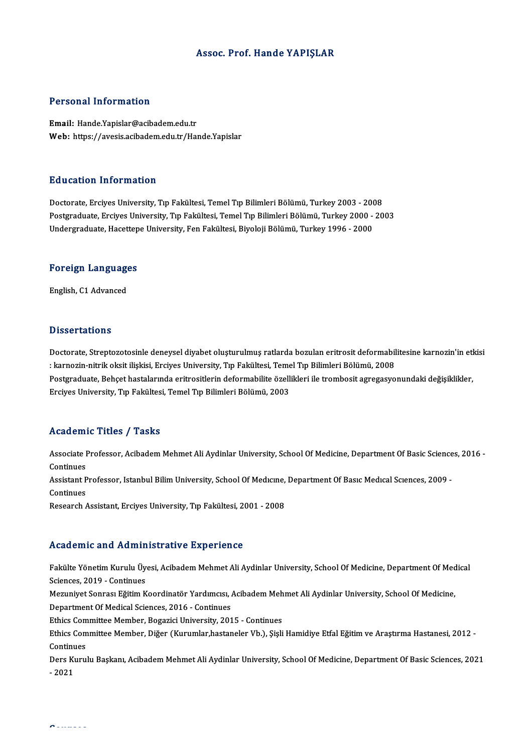### Assoc. Prof. Hande YAPIŞLAR

### Personal Information

Email: Hande.Yapislar@acibadem.edu.tr Web: https://avesis.acibadem.edu.tr/Hande.Yapislar

### Education Information

Doctorate, Erciyes University, Tıp Fakültesi, Temel Tıp Bilimleri Bölümü, Turkey 2003 - 2008 Postgraduate, Erciyes University, Tıp Fakültesi, Temel Tıp Bilimleri Bölümü, Turkey 2000 - 2003 Undergraduate, Hacettepe University, Fen Fakültesi, Biyoloji Bölümü, Turkey 1996 - 2000

# <sub>ondergraduate, nacettep</sub><br>Foreign Languages <mark>Foreign Languag</mark>e<br>English, C1 Advanced

English, C1 Advanced<br>Dissertations

Dissertations<br>Doctorate, Streptozotosinle deneysel diyabet oluşturulmuş ratlarda bozulan eritrosit deformabilitesine karnozin'in etkisi<br>Usernozin nitrik eksit ilişkisi, Ersiyes University, Tın Fakültesi, Temel Tın Bilimler : karacı tarrama<br>Doctorate, Streptozotosinle deneysel diyabet oluşturulmuş ratlarda bozulan eritrosit deformabil<br>: karnozin-nitrik oksit ilişkisi, Erciyes University, Tıp Fakültesi, Temel Tıp Bilimleri Bölümü, 2008<br>Bostara Doctorate, Streptozotosinle deneysel diyabet oluşturulmuş ratlarda bozulan eritrosit deformabilitesine karnozin'in etl<br>: karnozin-nitrik oksit ilişkisi, Erciyes University, Tıp Fakültesi, Temel Tıp Bilimleri Bölümü, 2008<br>P : karnozin-nitrik oksit ilişkisi, Erciyes University, Tıp Fakültesi, Teme<br>Postgraduate, Behçet hastalarında eritrositlerin deformabilite özell<br>Erciyes University, Tıp Fakültesi, Temel Tıp Bilimleri Bölümü, 2003 Erciyes University, Tıp Fakültesi, Temel Tıp Bilimleri Bölümü, 2003<br>Academic Titles / Tasks

**Academic Titles / Tasks**<br>Associate Professor, Acibadem Mehmet Ali Aydinlar University, School Of Medicine, Department Of Basic Sciences, 2016 -<br>Continues Associate I<br>Continues<br>Assistant B Associate Professor, Acibadem Mehmet Ali Aydinlar University, School Of Medicine, Department Of Basic Science<br>Continues<br>Assistant Professor, Istanbul Bilim University, School Of Medıcıne, Department Of Basıc Medıcal Scıenc Continues<br>Assistant Professor, Istanbul Bilim University, School Of Medicine, Department Of Basic Medical Sciences, 2009 -<br>Continues

Research Assistant, Erciyes University, Tıp Fakültesi, 2001 - 2008

### Academic and Administrative Experience

Academic and Administrative Experience<br>Fakülte Yönetim Kurulu Üyesi, Acibadem Mehmet Ali Aydinlar University, School Of Medicine, Department Of Medical<br>Ssianses, 2019, Continues Sciences, 2019 - Continues Fakülte Yönetim Kurulu Üyesi, Acibadem Mehmet Ali Aydinlar University, School Of Medicine, Department Of Med<br>Sciences, 2019 - Continues<br>Mezuniyet Sonrası Eğitim Koordinatör Yardımcısı, Acibadem Mehmet Ali Aydinlar Universi

Mezuniyet Sonrası Eğitim Koordinatör Yardımcısı, Acibadem Mehmet Ali Aydinlar University, School Of Medicine,<br>Department Of Medical Sciences, 2016 - Continues Mezuniyet Sonrası Eğitim Koordinatör Yardımcısı, Acibadem Meh<br>Department Of Medical Sciences, 2016 - Continues<br>Ethics Committee Member, Bogazici University, 2015 - Continues<br>Ethics Committee Member, Dižer (Kurumlar bestans

Department Of Medical Sciences, 2016 - Continues<br>Ethics Committee Member, Bogazici University, 2015 - Continues<br>Ethics Committee Member, Diğer (Kurumlar,hastaneler Vb.), Şişli Hamidiye Etfal Eğitim ve Araştırma Hastanesi, Ethics Com<br>Ethics Com<br>Continues<br>Dors Kumi Ethics Committee Member, Diğer (Kurumlar,hastaneler Vb.), Şişli Hamidiye Etfal Eğitim ve Araştırma Hastanesi, 2012 -<br>Continues<br>Ders Kurulu Başkanı, Acibadem Mehmet Ali Aydinlar University, School Of Medicine, Department Of

Continues<br>Ders Kurulu Başkanı, Acibadem Mehmet Ali Aydinlar University, School Of Medicine, Department Of Basic Sciences, 2021<br>- 2021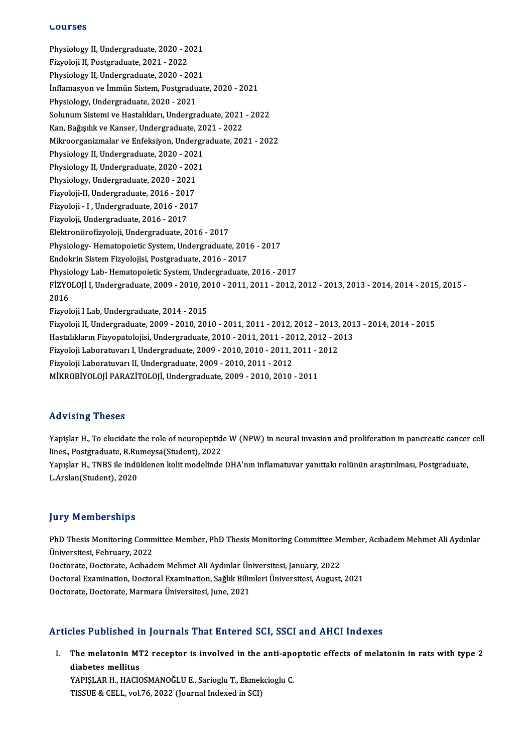### **Lourses**

LOUFSes<br>Physiology II, Undergraduate, 2020 - 2021<br>Firvoloji II, Postaraduate, 2021 - 2022 **Sources**<br>Physiology II, Undergraduate, 2020 - 20<br>Fizyoloji II, Postgraduate, 2021 - 2022<br>Physiology II, Undergraduate, 2020 - 20 Fizyoloji II, Postgraduate, 2021 - 2022<br>Physiology II, Undergraduate, 2020 - 2021 İnflamasyon ve İmmün Sistem, Postgraduate, 2020 - 2021 Physiology, Undergraduate, 2020 - 2021 İnflamasyon ve İmmün Sistem, Postgraduate, 2020 - 2021<br>Physiology, Undergraduate, 2020 - 2021<br>Solunum Sistemi ve Hastalıkları, Undergraduate, 2021 - 2022<br>Kan, Bağısılık ve Kanser Undergraduate, 2021 - 2022 Physiology, Undergraduate, 2020 - 2021<br>Solunum Sistemi ve Hastalıkları, Undergraduate, 2021<br>Kan, Bağışılık ve Kanser, Undergraduate, 2021 - 2022<br>Milmeergeniumalar ve Enfolmiyan, Undergraduate, 202 Kan, Bağışılık ve Kanser, Undergraduate, 2021 - 2022<br>Mikroorganizmalar ve Enfeksiyon, Undergraduate, 2021 - 2022 Kan, Bağışılık ve Kanser, Undergraduate, 20<br>Mikroorganizmalar ve Enfeksiyon, Undergr<br>Physiology II, Undergraduate, 2020 - 2021<br>Physiology II, Undergraduate, 2020 - 2021 Mikroorganizmalar ve Enfeksiyon, Undergr<br>Physiology II, Undergraduate, 2020 - 2021<br>Physiology II, Undergraduate, 2020 - 2021<br>Physiology Undergraduate, 2020 - 2021 Physiology II, Undergraduate, 2020 - 202<br>Physiology II, Undergraduate, 2020 - 202<br>Physiology, Undergraduate, 2020 - 2021<br>Finyoloji II, Undergraduate, 2016 - 2017 Physiology II, Undergraduate, 2020 - 2021<br>Physiology, Undergraduate, 2020 - 2021<br>Fizyoloji-II, Undergraduate, 2016 - 2017 Fizyoloji - I ,Undergraduate,2016 -2017 Fizyoloji,Undergraduate,2016 -2017 Elektronörofizyoloji,Undergraduate,2016 -2017 Physiology-Hematopoietic System, Undergraduate, 2016 - 2017 Endokrin Sistem Fizyolojisi, Postgraduate, 2016 - 2017 Physiology- Hematopoietic System, Undergraduate, 2016 - 2017<br>Endokrin Sistem Fizyolojisi, Postgraduate, 2016 - 2017<br>Physiology Lab- Hematopoietic System, Undergraduate, 2016 - 2017<br>Fizyol Oli Lindergraduate, 2009, 2010, 20 Endokrin Sistem Fizyolojisi, Postgraduate, 2016 - 2017<br>Physiology Lab- Hematopoietic System, Undergraduate, 2016 - 2017<br>FİZYOLOJİ I, Undergraduate, 2009 - 2010, 2010 - 2011, 2011 - 2012, 2012 - 2013, 2013 - 2014, 2014 - 20 Physic<br>FİZYO<br>2016<br>Eigyol FİZYOLOJİ I, Undergraduate, 2009 - 2010, 20<br>2016<br>Fizyoloji I Lab, Undergraduate, 2014 - 2015<br>Fizyoloji II Undergraduate, 2009, 2010, 201 2016<br>Fizyoloji I Lab, Undergraduate, 2014 - 2015<br>Fizyoloji II, Undergraduate, 2009 - 2010, 2010 - 2011, 2011 - 2012, 2012 - 2013, 2013 - 2014, 2014 - 2015 Fizyoloji I Lab, Undergraduate, 2014 - 2015<br>Fizyoloji II, Undergraduate, 2009 - 2010, 2010 - 2011, 2011 - 2012, 2012 - 2013, 201<br>Hastalıkların Fizyopatolojisi, Undergraduate, 2010 - 2011, 2011 - 2012, 2012 - 2013<br>Fizyoloji Fizyoloji II, Undergraduate, 2009 - 2010, 2010 - 2011, 2011 - 2012, 2012 - 2013,<br>Hastalıkların Fizyopatolojisi, Undergraduate, 2010 - 2011, 2011 - 2012, 2012 - 20<br>Fizyoloji Laboratuvarı I, Undergraduate, 2009 - 2010, 2010 Hastalıkların Fizyopatolojisi, Undergraduate, 2010 - 2011, 2011 - 20<br>Fizyoloji Laboratuvarı I, Undergraduate, 2009 - 2010, 2010 - 2011, .<br>Fizyoloji Laboratuvarı II, Undergraduate, 2009 - 2010, 2011 - 2012<br>Mikropiyol Oli PA Fizyoloji Laboratuvarı I, Undergraduate, 2009 - 2010, 2010 - 2011, 2011 - 2<br>Fizyoloji Laboratuvarı II, Undergraduate, 2009 - 2010, 2011 - 2012<br>MİKROBİYOLOJİ PARAZİTOLOJİ, Undergraduate, 2009 - 2010, 2010 - 2011 MİKROBİYOLOJİ PARAZİTOLOJİ, Undergraduate, 2009 - 2010, 2010 - 2011<br>Advising Theses

Advising Theses<br>Yapişlar H., To elucidate the role of neuropeptide W (NPW) in neural invasion and proliferation in pancreatic cancer cell<br>lines, Restanaduste B Bumeyse(Student), 2022 raa vienig virosoo<br>Yapişlar H., To elucidate the role of neuropeptid<br>lines., Postgraduate, R.Rumeysa(Student), 2022<br>Yapıslar H., TNPS ile indüklenen kelit modelinde Yapişlar H., To elucidate the role of neuropeptide W (NPW) in neural invasion and proliferation in pancreatic cancer<br>lines., Postgraduate, R.Rumeysa(Student), 2022<br>Yapışlar H., TNBS ile indüklenen kolit modelinde DHA'nın i lines., Postgraduate, R.Ru<br>Yapışlar H., TNBS ile indü<br>L.Arslan(Student), 2020 L.Arslan(Student), 2020<br>Jury Memberships

Jury Memberships<br>PhD Thesis Monitoring Committee Member, PhD Thesis Monitoring Committee Member, Acıbadem Mehmet Ali Aydınlar<br>Üniversitesi, Fehruary, 2022 PhD Thesis Monitoring Comm<br>Üniversitesi, February, 2022<br>Pesterate Pesterate Ashad PhD Thesis Monitoring Committee Member, PhD Thesis Monitoring Committee M<br>Üniversitesi, February, 2022<br>Doctorate, Doctorate, Acıbadem Mehmet Ali Aydınlar Üniversitesi, January, 2022<br>Doctoral Evamination, Doctoral Evaminati Üniversitesi, February, 2022<br>Doctorate, Doctorate, Acıbadem Mehmet Ali Aydınlar Üniversitesi, January, 2022<br>Doctoral Examination, Doctoral Examination, Sağlık Bilimleri Üniversitesi, August, 2021<br>Doctorate, Doctorate, Marm Doctorate, Doctorate, Acıbadem Mehmet Ali Aydınlar Ün<br>Doctoral Examination, Doctoral Examination, Sağlık Bilin<br>Doctorate, Doctorate, Marmara Üniversitesi, June, 2021

# Doctorate, Doctorate, Marmara Üniversitesi, June, 2021<br>Articles Published in Journals That Entered SCI, SSCI and AHCI Indexes

rticles Published in Journals That Entered SCI, SSCI and AHCI Indexes<br>I. The melatonin MT2 receptor is involved in the anti-apoptotic effects of melatonin in rats with type 2 The melatonin M1<br>The melatonin M1<br>diabetes mellitus<br>VAPISLAR H HACIC The melatonin MT2 receptor is involved in the anti-apo<br>diabetes mellitus<br>YAPIŞLAR H., HACIOSMANOĞLU E., Sarioglu T., Ekmekcioglu C.<br>TISSUE & CELL VRL76, 2022 (Jaunnal Indeved in SCD

diabetes mellitus<br>YAPIŞLAR H., HACIOSMANOĞLU E., Sarioglu T., Ekmekcioglu C.<br>TISSUE & CELL, vol.76, 2022 (Journal Indexed in SCI)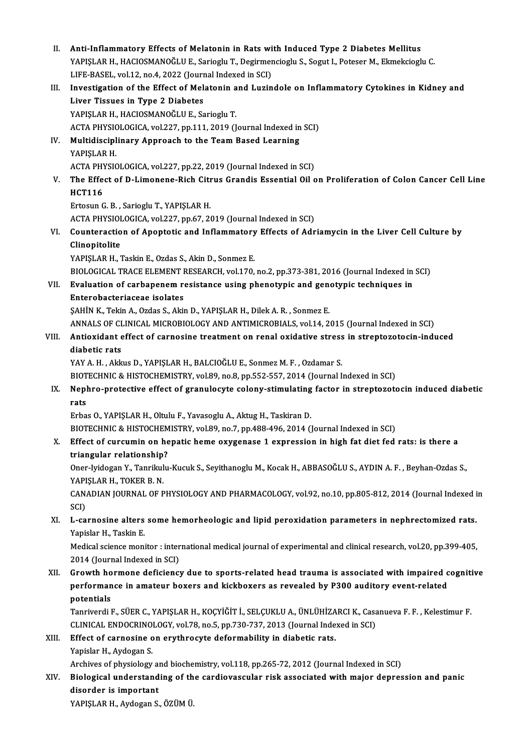| Н.    | Anti-Inflammatory Effects of Melatonin in Rats with Induced Type 2 Diabetes Mellitus                                                                             |
|-------|------------------------------------------------------------------------------------------------------------------------------------------------------------------|
|       | YAPIŞLAR H., HACIOSMANOĞLU E., Sarioglu T., Degirmencioglu S., Sogut I., Poteser M., Ekmekcioglu C.<br>LIFE-BASEL, vol.12, no.4, 2022 (Journal Indexed in SCI)   |
| III.  | Investigation of the Effect of Melatonin and Luzindole on Inflammatory Cytokines in Kidney and                                                                   |
|       | Liver Tissues in Type 2 Diabetes                                                                                                                                 |
|       | YAPIŞLAR H., HACIOSMANOĞLU E., Sarioglu T.                                                                                                                       |
|       | ACTA PHYSIOLOGICA, vol.227, pp.111, 2019 (Journal Indexed in SCI)                                                                                                |
| IV.   | Multidisciplinary Approach to the Team Based Learning                                                                                                            |
|       | YAPIŞLAR H.                                                                                                                                                      |
|       | ACTA PHYSIOLOGICA, vol.227, pp.22, 2019 (Journal Indexed in SCI)                                                                                                 |
| V.    | The Effect of D-Limonene-Rich Citrus Grandis Essential Oil on Proliferation of Colon Cancer Cell Line                                                            |
|       | <b>HCT116</b>                                                                                                                                                    |
|       | Ertosun G. B., Sarioglu T., YAPIŞLAR H.                                                                                                                          |
|       | ACTA PHYSIOLOGICA, vol.227, pp.67, 2019 (Journal Indexed in SCI)                                                                                                 |
| VI.   | Counteraction of Apoptotic and Inflammatory Effects of Adriamycin in the Liver Cell Culture by                                                                   |
|       | Clinopitolite                                                                                                                                                    |
|       | YAPIŞLAR H., Taskin E., Ozdas S., Akin D., Sonmez E.                                                                                                             |
|       | BIOLOGICAL TRACE ELEMENT RESEARCH, vol.170, no.2, pp.373-381, 2016 (Journal Indexed in SCI)                                                                      |
| VII.  | Evaluation of carbapenem resistance using phenotypic and genotypic techniques in                                                                                 |
|       | Enterobacteriaceae isolates                                                                                                                                      |
|       | ŞAHİN K., Tekin A., Ozdas S., Akin D., YAPIŞLAR H., Dilek A. R., Sonmez E.                                                                                       |
|       | ANNALS OF CLINICAL MICROBIOLOGY AND ANTIMICROBIALS, vol.14, 2015 (Journal Indexed in SCI)                                                                        |
| VIII. | Antioxidant effect of carnosine treatment on renal oxidative stress in streptozotocin-induced                                                                    |
|       | diabetic rats                                                                                                                                                    |
|       | YAY A. H., Akkus D., YAPIŞLAR H., BALCIOĞLU E., Sonmez M. F., Ozdamar S.<br>BIOTECHNIC & HISTOCHEMISTRY, vol.89, no.8, pp.552-557, 2014 (Journal Indexed in SCI) |
| IX.   | Nephro-protective effect of granulocyte colony-stimulating factor in streptozotocin induced diabetic                                                             |
|       | rats                                                                                                                                                             |
|       | Erbas O., YAPIŞLAR H., Oltulu F., Yavasoglu A., Aktug H., Taskiran D.                                                                                            |
|       | BIOTECHNIC & HISTOCHEMISTRY, vol.89, no.7, pp.488-496, 2014 (Journal Indexed in SCI)                                                                             |
| Χ.    | Effect of curcumin on hepatic heme oxygenase 1 expression in high fat diet fed rats: is there a                                                                  |
|       | triangular relationship?                                                                                                                                         |
|       | Oner-Iyidogan Y., Tanrikulu-Kucuk S., Seyithanoglu M., Kocak H., ABBASOĞLU S., AYDIN A. F., Beyhan-Ozdas S.,                                                     |
|       | YAPIŞLAR H., TOKER B. N.                                                                                                                                         |
|       | CANADIAN JOURNAL OF PHYSIOLOGY AND PHARMACOLOGY, vol.92, no.10, pp.805-812, 2014 (Journal Indexed in                                                             |
|       | SCI)                                                                                                                                                             |
| XI.   | L-carnosine alters some hemorheologic and lipid peroxidation parameters in nephrectomized rats.                                                                  |
|       | Yapislar H., Taskin E.                                                                                                                                           |
|       | Medical science monitor : international medical journal of experimental and clinical research, vol.20, pp.399-405,                                               |
|       | 2014 (Journal Indexed in SCI)                                                                                                                                    |
| XII.  | Growth hormone deficiency due to sports-related head trauma is associated with impaired cognitive                                                                |
|       | performance in amateur boxers and kickboxers as revealed by P300 auditory event-related                                                                          |
|       | potentials<br>Tanriverdi F., SÜER C., YAPIŞLAR H., KOÇYİĞİT İ., SELÇUKLU A., ÜNLÜHİZARCI K., Casanueva F. F., Kelestimur F.                                      |
|       | CLINICAL ENDOCRINOLOGY, vol.78, no.5, pp.730-737, 2013 (Journal Indexed in SCI)                                                                                  |
| XIII. | Effect of carnosine on erythrocyte deformability in diabetic rats.                                                                                               |
|       | Yapislar H., Aydogan S.                                                                                                                                          |
|       | Archives of physiology and biochemistry, vol.118, pp.265-72, 2012 (Journal Indexed in SCI)                                                                       |
| XIV.  | Biological understanding of the cardiovascular risk associated with major depression and panic                                                                   |
|       | disorder is important                                                                                                                                            |

YAPIŞLAR H., Aydogan S., ÖZÜM Ü.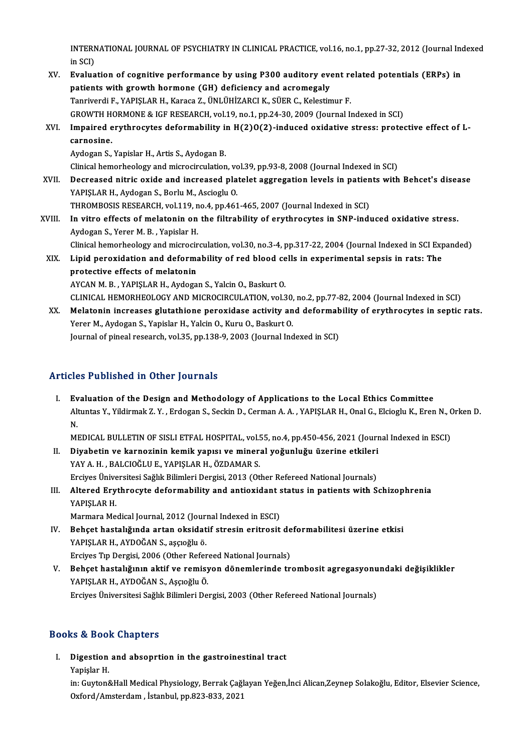INTERNATIONAL JOURNAL OF PSYCHIATRY IN CLINICAL PRACTICE, vol.16, no.1, pp.27-32, 2012 (Journal Indexed<br>in SCD INTERN<br>in SCI)<br>Evelue

- INTERNATIONAL JOURNAL OF PSYCHIATRY IN CLINICAL PRACTICE, vol.16, no.1, pp.27-32, 2012 (Journal Ind<br>in SCI)<br>XV. Evaluation of cognitive performance by using P300 auditory event related potentials (ERPs) in<br>nationts with gr in SCI)<br>Evaluation of cognitive performance by using P300 auditory ever<br>patients with growth hormone (GH) deficiency and acromegaly<br>Tennivendi E, MADISLAR H, Kerees 7, ÜNI ÜHIZARCI K, SÜER G, Kelestin Evaluation of cognitive performance by using P300 auditory event re<br>patients with growth hormone (GH) deficiency and acromegaly<br>Tanriverdi F., YAPIŞLAR H., Karaca Z., ÜNLÜHİZARCI K., SÜER C., Kelestimur F.<br>CROWTH HORMONE & patients with growth hormone (GH) deficiency and acromegaly<br>Tanriverdi F., YAPIŞLAR H., Karaca Z., ÜNLÜHİZARCI K., SÜER C., Kelestimur F.<br>GROWTH HORMONE & IGF RESEARCH, vol.19, no.1, pp.24-30, 2009 (Journal Indexed in SCI) Tanriverdi F., YAPIŞLAR H., Karaca Z., ÜNLÜHİZARCI K., SÜER C., Kelestimur F.<br>GROWTH HORMONE & IGF RESEARCH, vol.19, no.1, pp.24-30, 2009 (Journal Indexed in SCI)<br>XVI. Impaired erythrocytes deformability in H(2)O(2)-induce GROWTH H<br>Impaired e<br>carnosine.<br>Audogan S Impaired erythrocytes deformability is<br>carnosine.<br>Aydogan S., Yapislar H., Artis S., Aydogan B.<br>Clinical hamarbaalagu and migresingulation carnosine.<br>Aydogan S., Yapislar H., Artis S., Aydogan B.<br>Clinical hemorheology and microcirculation, vol.39, pp.93-8, 2008 (Journal Indexed in SCI)<br>Desreesed nitris exide and insteased platelet essussation levels in patien Aydogan S., Yapislar H., Artis S., Aydogan B.<br>Clinical hemorheology and microcirculation, vol.39, pp.93-8, 2008 (Journal Indexed in SCI)<br>XVII. Decreased nitric oxide and increased platelet aggregation levels in patients wi Clinical hemorheology and microcirculation, vo<br>Decreased nitric oxide and increased pla<br>YAPIŞLAR H., Aydogan S., Borlu M., Ascioglu O.<br>THROMPOSIS RESEARCH vol.119 no.4 nn.461 Decreased nitric oxide and increased platelet aggregation levels in patien<br>YAPIŞLAR H., Aydogan S., Borlu M., Ascioglu O.<br>THROMBOSIS RESEARCH, vol.119, no.4, pp.461-465, 2007 (Journal Indexed in SCI)<br>In uitre effects of mo YAPIŞLAR H., Aydogan S., Borlu M., Ascioglu O.<br>THROMBOSIS RESEARCH, vol.119, no.4, pp.461-465, 2007 (Journal Indexed in SCI)<br>XVIII. In vitro effects of melatonin on the filtrability of erythrocytes in SNP-induced oxidative THROMBOSIS RESEARCH, vol.119, n<br>In vitro effects of melatonin on<br>Aydogan S., Yerer M. B. , Yapislar H.<br>Clinical hamarbaclagy and mignagin In vitro effects of melatonin on the filtrability of erythrocytes in SNP-induced oxidative stress.<br>Aydogan S., Yerer M. B. , Yapislar H.<br>Clinical hemorheology and microcirculation, vol.30, no.3-4, pp.317-22, 2004 (Journal Aydogan S., Yerer M. B. , Yapislar H.<br>Clinical hemorheology and microcirculation, vol.30, no.3-4, pp.317-22, 2004 (Journal Indexed in SCI Exp<br>XIX. Lipid peroxidation and deformability of red blood cells in experimental sep Clinical hemorheology and microcir<br>Lipid peroxidation and deforma<br>protective effects of melatonin<br>AVCAN M. B. VARISLAR H. Avdora Lipid peroxidation and deformability of red blood ce<br>protective effects of melatonin<br>AYCAN M. B., YAPIŞLAR H., Aydogan S., Yalcin O., Baskurt O.<br>CLINICAL HEMOPHEOLOCY AND MICROCIPCIJI ATION vol 3 protective effects of melatonin<br>AYCAN M. B. , YAPIŞLAR H., Aydogan S., Yalcin O., Baskurt O.<br>CLINICAL HEMORHEOLOGY AND MICROCIRCULATION, vol.30, no.2, pp.77-82, 2004 (Journal Indexed in SCI)<br>Melatonin ingresses slutathione
	- AYCAN M. B. , YAPIŞLAR H., Aydogan S., Yalcin O., Baskurt O.<br>CLINICAL HEMORHEOLOGY AND MICROCIRCULATION, vol.30, no.2, pp.77-82, 2004 (Journal Indexed in SCI)<br>XX. Melatonin increases glutathione peroxidase activity and def CLINICAL HEMORHEOLOGY AND MICROCIRCULATION, vol.30,<br>Melatonin increases glutathione peroxidase activity an<br>Yerer M., Aydogan S., Yapislar H., Yalcin O., Kuru O., Baskurt O.<br>Journal of ninoal recearch vol.35, nn.138, 9, 200 Journal of pineal research, vol.35, pp.138-9, 2003 (Journal Indexed in SCI)

### Articles Published in Other Journals

I. Evaluation of the Design and Methodology of Applications to the Local Ethics Committee SEET ABINDIED III DENET JOUTHUIB<br>Evaluation of the Design and Methodology of Applications to the Local Ethics Committee<br>Altuntas Y., Yildirmak Z. Y. , Erdogan S., Seckin D., Cerman A. A. , YAPIŞLAR H., Onal G., Elcioglu K. Ev<br>Alt<br>N. Altuntas Y., Yildirmak Z. Y. , Erdogan S., Seckin D., Cerman A. A. , YAPIŞLAR H., Onal G., Elcioglu K., Eren N., O<br>N.<br>MEDICAL BULLETIN OF SISLI ETFAL HOSPITAL, vol.55, no.4, pp.450-456, 2021 (Journal Indexed in ESCI)<br>Diveb

- N.<br>MEDICAL BULLETIN OF SISLI ETFAL HOSPITAL, vol.55, no.4, pp.450-456, 2021 (Journ<br>II. Diyabetin ve karnozinin kemik yapısı ve mineral yoğunluğu üzerine etkileri<br>YAYA H. BALCIQĞLUE YAPISLAR H. ÖZDAMAR S MEDICAL BULLETIN OF SISLI ETFAL HOSPITAL, vol.55, no.4, pp.450-456, 2021 (Journal Indexed in ESCI)<br>Diyabetin ve karnozinin kemik yapısı ve mineral yoğunluğu üzerine etkileri<br>YAY A. H. , BALCIOĞLU E., YAPIŞLAR H., ÖZDAMAR S Diyabetin ve karnozinin kemik yapısı ve mineral yoğunluğu üzerine etkileri<br>YAY A. H. , BALCIOĞLU E., YAPIŞLAR H., ÖZDAMAR S.<br>Erciyes Üniversitesi Sağlık Bilimleri Dergisi, 2013 (Other Refereed National Journals)<br>Altanad Eu YAY A. H. , BALCIOĞLU E., YAPIŞLAR H., ÖZDAMAR S.<br>Erciyes Üniversitesi Sağlık Bilimleri Dergisi, 2013 (Other Refereed National Journals)<br>III. Altered Erythrocyte deformability and antioxidant status in patients with Schizo
- Erciyes Ünive<br>Altered Ery<br>YAPIŞLAR H.<br>Marmara Ma Altered Erythrocyte deformability and antioxidant s<br>YAPIŞLAR H.<br>Marmara Medical Journal, 2012 (Journal Indexed in ESCI)<br>Peheet bastalığında artan eksidetif stresin enitresit YAPIŞLAR H.<br>Marmara Medical Journal, 2012 (Journal Indexed in ESCI)<br>IV. Behçet hastalığında artan oksidatif stresin eritrosit deformabilitesi üzerine etkisi

- YAPIŞLAR H., AYDOĞAN S., aşçıoğlu ö. Behçet hastalığında artan oksidatif stresin eritrosit de<br>YAPIŞLAR H., AYDOĞAN S., aşçıoğlu ö.<br>Erciyes Tıp Dergisi, 2006 (Other Refereed National Journals)<br>Behçet hastalığının aktif ve remisyon dönemlerinde tr YAPIŞLAR H., AYDOĞAN S., aşçıoğlu ö.<br>Erciyes Tıp Dergisi, 2006 (Other Refereed National Journals)<br>V. Behçet hastalığının aktif ve remisyon dönemlerinde trombosit agregasyonundaki değişiklikler<br>VARISLAR H. AYDOĞAN S. Assı
- Erciyes Tıp Dergisi, 2006 (Other Refer<br>**Behçet hastalığının aktif ve remisy**<br>YAPIŞLAR H., AYDOĞAN S., Aşçıoğlu Ö.<br>Freives Üniversitesi Soğlu, Bilimleri De Behçet hastalığının aktif ve remisyon dönemlerinde trombosit agregasyonu<br>YAPIŞLAR H., AYDOĞAN S., Aşçıoğlu Ö.<br>Erciyes Üniversitesi Sağlık Bilimleri Dergisi, 2003 (Other Refereed National Journals) Erciyes Üniversitesi Sağlık Bilimleri Dergisi, 2003 (Other Refereed National Journals)<br>Books & Book Chapters

I. Digestion and absoprtion in the gastroinestinal tract Na & Book<br>Digestion<br>Yapişlar H.

Digestion and absoprtion in the gastroinestinal tract<br>Yapişlar H.<br>in: Guyton&Hall Medical Physiology, Berrak Çağlayan Yeğen,İnci Alican,Zeynep Solakoğlu, Editor, Elsevier Science, Yapişlar H.<br>in: Guyton&Hall Medical Physiology, Berrak Çağl<br>Oxford/Amsterdam , İstanbul, pp.823-833, 2021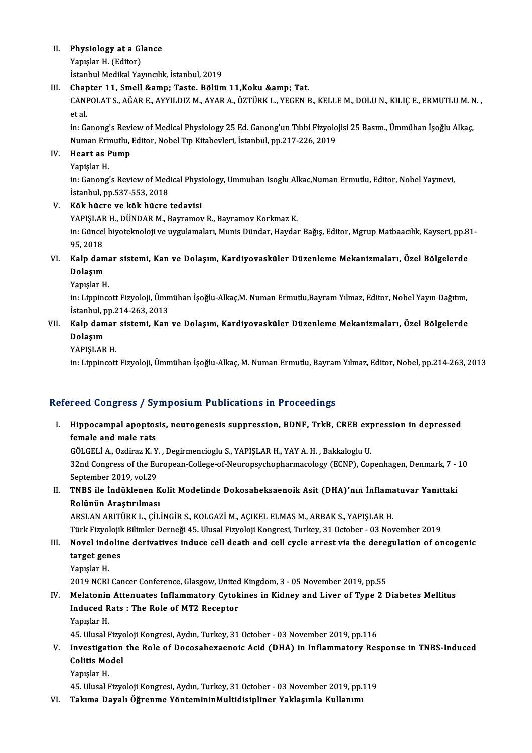# II. Physiology at a Glance<br>Venylon H (Editor)

Physiology at a Gl<br>Yapışlar H. (Editor)<br>İstanbul Madikal Ya Yapışlar H. (Editor)<br>İstanbul Medikal Yayıncılık, İstanbul, 2019

# Yapışlar H. (Editor)<br>İstanbul Medikal Yayıncılık, İstanbul, 2019<br>III. Chapter 11, Smell & Amp; Taste. Bölüm 11,Koku & Amp; Tat.<br>CANPOLATS, AĞAR E. AYVILDIZ M. AYAR A. ÖZTÜRKL, YECEN E CANPOLAT S., AĞAR E., AYYILDIZ M., AYAR A., ÖZTÜRK L., YEGEN B., KELLE M., DOLU N., KILIÇ E., ERMUTLU M. N. ,<br>et al Chap<br>CANI<br>et al.<br>in: Ca

CANPOLAT S., AĞAR E., AYYILDIZ M., AYAR A., ÖZTÜRK L., YEGEN B., KELLE M., DOLU N., KILIÇ E., ERMUTLU M. N<br>et al.<br>in: Ganong's Review of Medical Physiology 25 Ed. Ganong'un Tıbbi Fizyolojisi 25 Basım., Ümmühan İşoğlu Alkaç et al.<br>in: Ganong's Review of Medical Physiology 25 Ed. Ganong'un Tıbbi Fizyolo<br>Numan Ermutlu, Editor, Nobel Tıp Kitabevleri, İstanbul, pp.217-226, 2019<br>Heart as Pump Numan Ermutlu, Editor, Nobel Tıp Kitabevleri, İstanbul, pp.217-226, 2019

## IV. Heart as Pump

Heart as Pump<br>Yapişlar H.<br>in: Ganong's Review of Medical Physiology, Ummuhan Isoglu Alkac,Numan Ermutlu, Editor, Nobel Yayınevi,<br>İstanbul, pp.537,553,2018 Yapişlar H.<br>in: Ganong's Review of Med<br>İstanbul, pp.537-553, 2018<br>Kök büçne ve kök büçne İstanbul, pp.537-553, 2018<br>Kök hücre ve kök hücre tedavisi<br>YAPIŞLAR H., DÜNDAR M., Bayramov R., Bayramov Korkmaz K.<br>in: Güncel biyatelmeleji ve uvgulamaları. Munis Dünder, Haydet

V. Kök hücre ve kök hücre tedavisi

in: Güncel biyoteknoloji ve uygulamaları, Munis Dündar, Haydar Bağış, Editor, Mgrup Matbaacılık, Kayseri, pp.81-<br>95, 2018 YAPIŞLAF<br>in: Güncel<br>95, 2018<br>Kalp dan in: Güncel biyoteknoloji ve uygulamaları, Munis Dündar, Haydar Bağış, Editor, Mgrup Matbaacılık, Kayseri, pp.8<br>95, 2018<br>VI. Kalp damar sistemi, Kan ve Dolaşım, Kardiyovasküler Düzenleme Mekanizmaları, Özel Bölgelerde<br>Delas

# 95, 2018<br>Kalp dam<br>Dolaşım<br><sup>Vonselar H</sup> Kalp dam<mark>:</mark><br>Dolaşım<br>Yapışlar H.<br>in: Linning

D**olaşım**<br>Yapışlar H.<br>in: Lippincott Fizyoloji, Ümmühan İşoğlu-Alkaç,M. Numan Ermutlu,Bayram Yılmaz, Editor, Nobel Yayın Dağıtım,<br>İstanbul, np.314,263, 2013 Yapışlar H.<br>in: Lippincott Fizyoloji, Ümn<br>İstanbul, pp.214-263, 2013<br>Kalp damar sistemi, Kan in: Lippincott Fizyoloji, Ümmühan İşoğlu-Alkaç,M. Numan Ermutlu,Bayram Yılmaz, Editor, Nobel Yayın Dağıtım,<br>İstanbul, pp.214-263, 2013<br>VII. Kalp damar sistemi, Kan ve Dolaşım, Kardiyovasküler Düzenleme Mekanizmaları, Özel

## İstanbul, pp.214-263, 2013<br>Kalp damar sistemi, Kan<br>Dolaşım<br>YAPISLAR H. VII. Kalp damar sistemi, Kan ve Dolaşım, Kardiyovasküler Düzenleme Mekanizmaları, Özel Bölgelerde

in: Lippincott Fizyoloji, Ümmühan İşoğlu-Alkaç, M. Numan Ermutlu, Bayram Yılmaz, Editor, Nobel, pp.214-263, 2013

### Refereed Congress / Symposium Publications in Proceedings

efereed Congress / Symposium Publications in Proceedings<br>I. Hippocampal apoptosis, neurogenesis suppression, BDNF, TrkB, CREB expression in depressed<br>fomale and male nate fect congress) by<br>Hippocampal apoptos<br>female and male rats Hippocampal apoptosis, neurogenesis suppression, BDNF, TrkB, CREB exp<br>female and male rats<br>GÖLGELİ A., Ozdiraz K.Y. , Degirmencioglu S., YAPIŞLAR H., YAY A. H. , Bakkaloglu U.<br>22nd Congress of the European Collage of Nouro

female and male rats<br>GÖLGELİ A., Ozdiraz K. Y. , Degirmencioglu S., YAPIŞLAR H., YAY A. H. , Bakkaloglu U.<br>32nd Congress of the European-College-of-Neuropsychopharmacology (ECNP), Copenhagen, Denmark, 7 - 10<br>Sentember 2019 GÖLGELİ A., Ozdiraz K. Y.<br>32nd Congress of the Eu<br>September 2019, vol.29<br>TNPS ile İndüldenen k 32nd Congress of the European-College-of-Neuropsychopharmacology (ECNP), Copenhagen, Denmark, 7 -<br>September 2019, vol.29<br>II. TNBS ile İndüklenen Kolit Modelinde Dokosaheksaenoik Asit (DHA)'nın İnflamatuvar Yanıttaki<br>Pelünü

September 2019, vol.29<br>TNBS ile İndüklenen K<br>Rolünün Araştırılması<br>ARSLAN ARITÜRKLE CİL TNBS ile İndüklenen Kolit Modelinde Dokosaheksaenoik Asit (DHA)'nın İnflama<br>Rolünün Araştırılması<br>ARSLAN ARITÜRK L., ÇİLİNGİR S., KOLGAZİ M., AÇIKEL ELMAS M., ARBAK S., YAPIŞLAR H.<br>Türk Eiryolejik Bilimler Derneği 45, Hlus

Rolünün Araştırılması<br>ARSLAN ARITÜRK L., ÇİLİNGİR S., KOLGAZİ M., AÇIKEL ELMAS M., ARBAK S., YAPIŞLAR H.<br>Türk Fizyolojik Bilimler Derneği 45. Ulusal Fizyoloji Kongresi, Turkey, 31 October - 03 November 2019 ARSLAN ARITÜRK L., ÇİLİNGİR S., KOLGAZİ M., AÇIKEL ELMAS M., ARBAK S., YAPIŞLAR H.<br>Türk Fizyolojik Bilimler Derneği 45. Ulusal Fizyoloji Kongresi, Turkey, 31 October - 03 November 2019<br>III. Novel indoline derivatives induc

# Türk Fizyolojik<br>Novel indolir<br>target genes<br><sup>Vonselar H</sup> Novel ind<br>target gen<br>Yapışlar H.<br>2019 NCPI target genes<br>Yapışlar H.<br>2019 NCRI Cancer Conference, Glasgow, United Kingdom, 3 - 05 November 2019, pp.55<br>Melatenin, Attenuates Inflammatery, Gytakines in Kidney and Liver of Tyne 2, P

## Yapışlar H.<br>2019 NCRI Cancer Conference, Glasgow, United Kingdom, 3 - 05 November 2019, pp.55<br>IV. Melatonin Attenuates Inflammatory Cytokines in Kidney and Liver of Type 2 Diabetes Mellitus<br>Indused Pats : The Pele of MT3 P 2019 NCRI Cancer Conference, Glasgow, United<br>Melatonin Attenuates Inflammatory Cytok<br>Induced Rats : The Role of MT2 Receptor<br><sup>Voniclor H</sup> Melatonin<br>Induced R<br>Yapışlar H.<br>45 Hlucel I 1 Induced Rats : The Role of MT2 Receptor<br>1995 - Yapışlar H.<br>45. Ulusal Fizyoloji Kongresi, Aydın, Turkey, 31 October - 03 November 2019, pp.116

## Yapışlar H.<br>45. Ulusal Fizyoloji Kongresi, Aydın, Turkey, 31 October - 03 November 2019, pp.116<br>V. Investigation the Role of Docosahexaenoic Acid (DHA) in Inflammatory Response in TNBS-Induced<br>Colitic Model 45. Ulusal Fizyo<br>Investigation<br>Colitis Model<br><sup>Vonselen H</sup> I<mark>nvestigat</mark><br>Colitis Mo<br>Yapışlar H.<br>45 Hlucel I 6 <mark>Colitis Model</mark><br>1991-Yapışlar H.<br>45. Ulusal Fizyoloji Kongresi, Aydın, Turkey, 31 October - 03 November 2019, pp.119

VI. Takıma Dayalı Öğrenme YöntemininMultidisipliner Yaklaşımla Kullanımı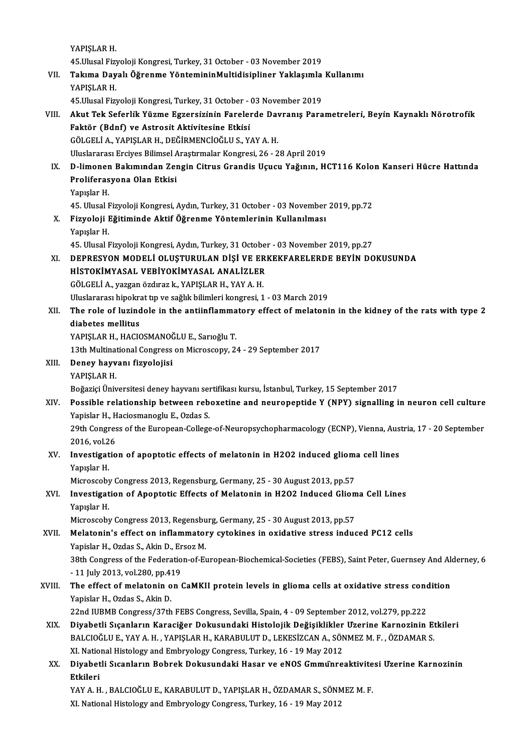YAPIŞLAR H. 45.UlusalFizyolojiKongresi,Turkey,31October -03November 2019 YAPIŞLAR H.<br>45.Ulusal Fizyoloji Kongresi, Turkey, 31 October - 03 November 2019<br>VII. Takıma Dayalı Öğrenme YöntemininMultidisipliner Yaklaşımla Kullanımı<br>VARISLAR H 45.Ulusal Fizy<br>Takıma Day<br>YAPIŞLAR H.<br>45 Ulusal Firm Takıma Dayalı Öğrenme YöntemininMultidisipliner Yaklaşımla<br>YAPIŞLAR H.<br>45.Ulusal Fizyoloji Kongresi, Turkey, 31 October - 03 November 2019<br>Akut Tek Seferlik Yüzme Eszersizinin Farelerde Dauranıs Bara YAPIŞLAR H.<br>45.Ulusal Fizyoloji Kongresi, Turkey, 31 October - 03 November 2019<br>VIII. Akut Tek Seferlik Yüzme Egzersizinin Farelerde Davranış Parametreleri, Beyin Kaynaklı Nörotrofik<br>Faktör (Bdnf) ve Astrosit Aktivites 45.Ulusal Fizyoloji Kongresi, Turkey, 31 October - (<br>Akut Tek Seferlik Yüzme Egzersizinin Fareler<br>Faktör (Bdnf) ve Astrosit Aktivitesine Etkisi<br>CÖLCELLA, YABISLAR H, DEČİRMENCİQÖLLI S, V. Akut Tek Seferlik Yüzme Egzersizinin Farelerde Dav<br>Faktör (Bdnf) ve Astrosit Aktivitesine Etkisi<br>GÖLGELİ A., YAPIŞLAR H., DEĞİRMENCİOĞLU S., YAY A. H.<br>Hluclararesi Ersiyes Bilimsel Arastırmalar Konsresi 26, 2 Faktör (Bdnf) ve Astrosit Aktivitesine Etkisi<br>GÖLGELİ A., YAPIŞLAR H., DEĞİRMENCİOĞLU S., YAY A. H.<br>Uluslararası Ercives Bilimsel Arastırmalar Kongresi, 26 - 28 April 2019 GÖLGELİ A., YAPIŞLAR H., DEĞİRMENCİOĞLU S., YAY A. H.<br>Uluslararası Erciyes Bilimsel Araştırmalar Kongresi, 26 - 28 April 2019<br>IX. D-limonen Bakımından Zengin Citrus Grandis Uçucu Yağının, HCT116 Kolon Kanseri Hücre Hat Uluslararası Erciyes Bilimsel<br>D-limonen Bakımından Zeı<br>Proliferasyona Olan Etkisi<br><sup>Vanıclar H</sup> D-li<mark>moner</mark><br>Proliferas<br>Yapışlar H.<br>45 Hlusel E Proliferasyona Olan Etkisi<br>Yapışlar H.<br>45. Ulusal Fizyoloji Kongresi, Aydın, Turkey, 31 October - 03 November 2019, pp.72 Yapışlar H.<br>45. Ulusal Fizyoloji Kongresi, Aydın, Turkey, 31 October - 03 November<br>X. Fizyoloji Eğitiminde Aktif Öğrenme Yöntemlerinin Kullanılması<br>Yapıslan H 45. Ulusal I<br>Fizyoloji I<br>Yapışlar H.<br>45. Ulusal I Fizyoloji Eğitiminde Aktif Öğrenme Yöntemlerinin Kullanılması<br>Yapışlar H.<br>45. Ulusal Fizyoloji Kongresi, Aydın, Turkey, 31 October - 03 November 2019, pp.27<br>DEPRESYON MODELİ OLUSTURLU AN DİSİ VE ERKEKEARELERDE REVIN DO Yapışlar H.<br>45. Ulusal Fizyoloji Kongresi, Aydın, Turkey, 31 October - 03 November 2019, pp.27<br>XI. DEPRESYON MODELİ OLUŞTURULAN DİŞİ VE ERKEKFARELERDE BEYİN DOKUSUNDA<br>HİSTOKİMYASAL VEBİYOKİMYASAL ANALİZLER 45. Ulusal Fizyoloji Kongresi, Aydın, Turkey, 31 Octobel<br>DEPRESYON MODELİ OLUŞTURULAN DİŞİ VE ERI<br>HİSTOKİMYASAL VEBİYOKİMYASAL ANALİZLER<br>CÖLCELLA, YAZSAR ÖZDRƏLI NAPISLAR H. YAVA H GÖLGELİ A., yazgan özdıraz k., YAPIŞLAR H., YAY A. H. HİSTOKİMYASAL VEBİYOKİMYASAL ANALİZLER<br>GÖLGELİ A., yazgan özdıraz k., YAPIŞLAR H., YAY A. H.<br>Uluslararası hipokrat tıp ve sağlık bilimleri kongresi, 1 - 03 March 2019<br>The rele of lugindele in the entiinflemmatery effect of XII. The role of luzindole in the antiinflammatory effect of melatonin in the kidney of the rats with type 2 diabetes mellitus Uluslararası hipokra<br>The role of luzind<br>diabetes mellitus<br>YAPISLAP H. HACIG YAPIŞLAR H., HACIOSMANOĞLU E., Sarıoğlu T. diabetes mellitus<br>YAPIŞLAR H., HACIOSMANOĞLU E., Sarıoğlu T.<br>13th Multinational Congress on Microscopy, 24 - 29 September 2017<br>Penev hawwanı fizyolojisi XIII. Deney hayvanı fizyolojisi<br>YAPIŞLAR H. 13th Multinat<br>Deney hayv<br>YAPIŞLAR H.<br>Poğazici Üniv BoğaziçiÜniversitesideneyhayvanı sertifikasıkursu, İstanbul,Turkey,15 September 2017 YAPIŞLAR H.<br>Boğaziçi Üniversitesi deney hayvanı sertifikası kursu, İstanbul, Turkey, 15 September 2017<br>XIV. Possible relationship between reboxetine and neuropeptide Y (NPY) signalling in neuron cell culture<br>Xonislar H Boğaziçi Üniversitesi deney hayvanı ser<br>Possible relationship between reb<br>Yapislar H., Haciosmanoglu E., Ozdas S.<br>20th Congress of the European Collegs Possible relationship between reboxetine and neuropeptide Y (NPY) signalling in neuron cell culture<br>Yapislar H., Haciosmanoglu E., Ozdas S.<br>29th Congress of the European-College-of-Neuropsychopharmacology (ECNP), Vienna, A Yapislar H., H<br>29th Congres<br>2016, vol.26<br>Investisatio 29th Congress of the European-College-of-Neuropsychopharmacology (ECNP), Vienna, Aus<br>2016, vol.26<br>XV. Investigation of apoptotic effects of melatonin in H2O2 induced glioma cell lines<br>Nonplan H 2016, vol.2<br>Investigat<br>Yapışlar H.<br>Microssobu Investigation of apoptotic effects of melatonin in H2O2 induced gliom:<br>Yapışlar H.<br>Microscoby Congress 2013, Regensburg, Germany, 25 - 30 August 2013, pp.57<br>Investigation of Apontatic Effects of Melatonin in H2O2 Indused C Yapışlar H.<br>Microscoby Congress 2013, Regensburg, Germany, 25 - 30 August 2013, pp.57<br>XVI. Investigation of Apoptotic Effects of Melatonin in H2O2 Induced Glioma Cell Lines<br>Vanylar H Microscoby<br>I<mark>nvestigat</mark><br>Yapışlar H.<br>Microscoby Investigation of Apoptotic Effects of Melatonin in H2O2 Induced Gliom<br>Yapışlar H.<br>Microscoby Congress 2013, Regensburg, Germany, 25 - 30 August 2013, pp.57<br>Melatonin's effect on inflammatory sytokines in exidative stress i Yapışlar H.<br>Microscoby Congress 2013, Regensburg, Germany, 25 - 30 August 2013, pp.57<br>XVII. Melatonin's effect on inflammatory cytokines in oxidative stress induced PC12 cells<br>Xapislar H. Ozdas S. Akin D. Excer M Microscoby Congress 2013, Regensbu<br>Melatonin's effect on inflammator<br>Yapislar H., Ozdas S., Akin D., Ersoz M.<br>29th Congress of the Eoderation of E. Melatonin's effect on inflammatory cytokines in oxidative stress induced PC12 cells<br>Yapislar H., Ozdas S., Akin D., Ersoz M.<br>38th Congress of the Federation-of-European-Biochemical-Societies (FEBS), Saint Peter, Guernsey A Yapislar H., Ozdas S., Akin D., Er<br>38th Congress of the Federatio<br>- 11 July 2013, vol.280, pp.419<br>The effect of melatenin on t

# 38th Congress of the Federation-of-European-Biochemical-Societies (FEBS), Saint Peter, Guernsey And Ale<br>- 11 July 2013, vol.280, pp.419<br>XVIII. The effect of melatonin on CaMKII protein levels in glioma cells at oxidative s - 11 July 2013, vol.280, pp.4:<br>The effect of melatonin o<br>Yapislar H., Ozdas S., Akin D.<br>22nd UIPMP Congress (27th The effect of melatonin on CaMKII protein levels in glioma cells at oxidative stress concernational and the Vari<br>22nd IUBMB Congress/37th FEBS Congress, Sevilla, Spain, 4 - 09 September 2012, vol.279, pp.222<br>Divebetli Stea

- Yapislar H., Ozdas S., Akin D.<br>22nd IUBMB Congress/37th FEBS Congress, Sevilla, Spain, 4 09 September 2012, vol.279, pp.222<br>XIX. Diyabetli Sıçanların Karaciğer Dokusundaki Histolojik Değişiklikler Uzerine Karnozinin Etki 22nd IUBMB Congress/37th FEBS Congress, Sevilla, Spain, 4 - 09 September 2012, vol.279, pp.222<br>Diyabetli Sıçanların Karaciğer Dokusundaki Histolojik Değişiklikler Uzerine Karnozinin Et<br>BALCIOĞLU E., YAY A. H. , YAPIŞLAR H. Diyabetli Sıçanların Karaciğer Dokusundaki Histolojik Değişiklikler<br>BALCIOĞLU E., YAY A. H. , YAPIŞLAR H., KARABULUT D., LEKESİZCAN A., SÖN<br>XI. National Histology and Embryology Congress, Turkey, 16 - 19 May 2012<br>Divebetli BALCIOĞLU E., YAY A. H. , YAPIŞLAR H., KARABULUT D., LEKESİZCAN A., SÖNMEZ M. F. , ÖZDAMAR S.<br>XI. National Histology and Embryology Congress, Turkey, 16 - 19 May 2012<br>XX. Diyabetli Sıcanların Bobrek Dokusundaki Hasar v
- XI Natio<br><mark>Diyabet</mark><br>Etkileri<br><sup>VAV A H</sup> Diyabetli Sıcanların Bobrek Dokusundaki Hasar ve eNOS Gmmünreaktivite<br>Etkileri<br>YAY A. H. , BALCIOĞLU E., KARABULUT D., YAPIŞLAR H., ÖZDAMAR S., SÖNMEZ M. F.<br>YI National Histology ond Embryology Congress Tyrkey, 16, 19 Mey

Etkileri<br>YAY A. H. , BALCIOĞLU E., KARABULUT D., YAPIŞLAR H., ÖZDAMAR S., SÖNMEZ M. F.<br>XI. National Histology and Embryology Congress, Turkey, 16 - 19 May 2012